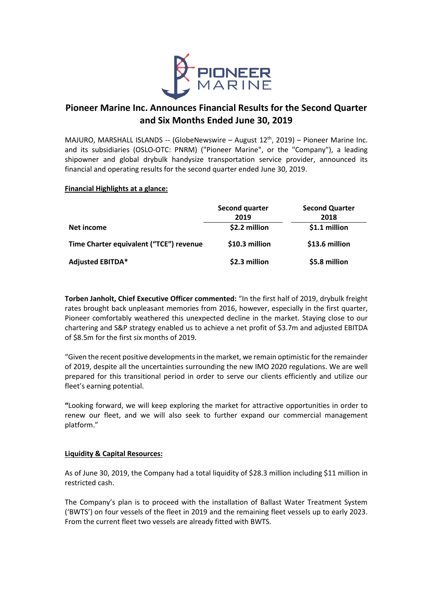

# **Pioneer Marine Inc. Announces Financial Results for the Second Quarter and Six Months Ended June 30, 2019**

MAJURO, MARSHALL ISLANDS -- (GlobeNewswire – August  $12<sup>th</sup>$ , 2019) – Pioneer Marine Inc. and its subsidiaries (OSLO-OTC: PNRM) ("Pioneer Marine", or the "Company"), a leading shipowner and global drybulk handysize transportation service provider, announced its financial and operating results for the second quarter ended June 30, 2019.

# **Financial Highlights at a glance:**

|                                         | Second quarter<br>2019 | <b>Second Quarter</b><br>2018 |
|-----------------------------------------|------------------------|-------------------------------|
| Net income                              | \$2.2 million          | \$1.1 million                 |
| Time Charter equivalent ("TCE") revenue | \$10.3 million         | \$13.6 million                |
| <b>Adjusted EBITDA*</b>                 | \$2.3 million          | \$5.8 million                 |

**Torben Janholt, Chief Executive Officer commented:** "In the first half of 2019, drybulk freight rates brought back unpleasant memories from 2016, however, especially in the first quarter, Pioneer comfortably weathered this unexpected decline in the market. Staying close to our chartering and S&P strategy enabled us to achieve a net profit of \$3.7m and adjusted EBITDA of \$8.5m for the first six months of 2019.

"Given the recent positive developments in the market, we remain optimistic for the remainder of 2019, despite all the uncertainties surrounding the new IMO 2020 regulations. We are well prepared for this transitional period in order to serve our clients efficiently and utilize our fleet's earning potential.

**"**Looking forward, we will keep exploring the market for attractive opportunities in order to renew our fleet, and we will also seek to further expand our commercial management platform."

## **Liquidity & Capital Resources:**

As of June 30, 2019, the Company had a total liquidity of \$28.3 million including \$11 million in restricted cash.

The Company's plan is to proceed with the installation of Ballast Water Treatment System ('BWTS') on four vessels of the fleet in 2019 and the remaining fleet vessels up to early 2023. From the current fleet two vessels are already fitted with BWTS.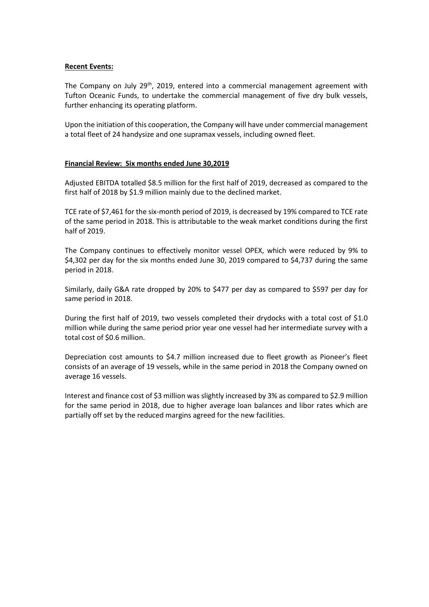## **Recent Events:**

The Company on July 29<sup>th</sup>, 2019, entered into a commercial management agreement with Tufton Oceanic Funds, to undertake the commercial management of five dry bulk vessels, further enhancing its operating platform.

Upon the initiation of this cooperation, the Company will have under commercial management a total fleet of 24 handysize and one supramax vessels, including owned fleet.

## **Financial Review: Six months ended June 30,2019**

Adjusted EBITDA totalled \$8.5 million for the first half of 2019, decreased as compared to the first half of 2018 by \$1.9 million mainly due to the declined market.

TCE rate of \$7,461 for the six-month period of 2019, is decreased by 19% compared to TCE rate of the same period in 2018. This is attributable to the weak market conditions during the first half of 2019.

The Company continues to effectively monitor vessel OPEX, which were reduced by 9% to \$4,302 per day for the six months ended June 30, 2019 compared to \$4,737 during the same period in 2018.

Similarly, daily G&A rate dropped by 20% to \$477 per day as compared to \$597 per day for same period in 2018.

During the first half of 2019, two vessels completed their drydocks with a total cost of \$1.0 million while during the same period prior year one vessel had her intermediate survey with a total cost of \$0.6 million.

Depreciation cost amounts to \$4.7 million increased due to fleet growth as Pioneer's fleet consists of an average of 19 vessels, while in the same period in 2018 the Company owned on average 16 vessels.

Interest and finance cost of \$3 million was slightly increased by 3% as compared to \$2.9 million for the same period in 2018, due to higher average loan balances and libor rates which are partially off set by the reduced margins agreed for the new facilities.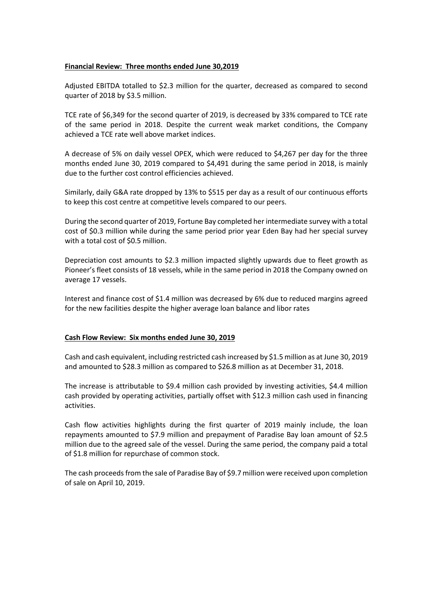## **Financial Review: Three months ended June 30,2019**

Adjusted EBITDA totalled to \$2.3 million for the quarter, decreased as compared to second quarter of 2018 by \$3.5 million.

TCE rate of \$6,349 for the second quarter of 2019, is decreased by 33% compared to TCE rate of the same period in 2018. Despite the current weak market conditions, the Company achieved a TCE rate well above market indices.

A decrease of 5% on daily vessel OPEX, which were reduced to \$4,267 per day for the three months ended June 30, 2019 compared to \$4,491 during the same period in 2018, is mainly due to the further cost control efficiencies achieved.

Similarly, daily G&A rate dropped by 13% to \$515 per day as a result of our continuous efforts to keep this cost centre at competitive levels compared to our peers.

During the second quarter of 2019, Fortune Bay completed her intermediate survey with a total cost of \$0.3 million while during the same period prior year Eden Bay had her special survey with a total cost of \$0.5 million.

Depreciation cost amounts to \$2.3 million impacted slightly upwards due to fleet growth as Pioneer's fleet consists of 18 vessels, while in the same period in 2018 the Company owned on average 17 vessels.

Interest and finance cost of \$1.4 million was decreased by 6% due to reduced margins agreed for the new facilities despite the higher average loan balance and libor rates

### **Cash Flow Review: Six months ended June 30, 2019**

Cash and cash equivalent, including restricted cash increased by \$1.5 million as at June 30, 2019 and amounted to \$28.3 million as compared to \$26.8 million as at December 31, 2018.

The increase is attributable to \$9.4 million cash provided by investing activities, \$4.4 million cash provided by operating activities, partially offset with \$12.3 million cash used in financing activities.

Cash flow activities highlights during the first quarter of 2019 mainly include, the loan repayments amounted to \$7.9 million and prepayment of Paradise Bay loan amount of \$2.5 million due to the agreed sale of the vessel. During the same period, the company paid a total of \$1.8 million for repurchase of common stock.

The cash proceeds from the sale of Paradise Bay of \$9.7 million were received upon completion of sale on April 10, 2019.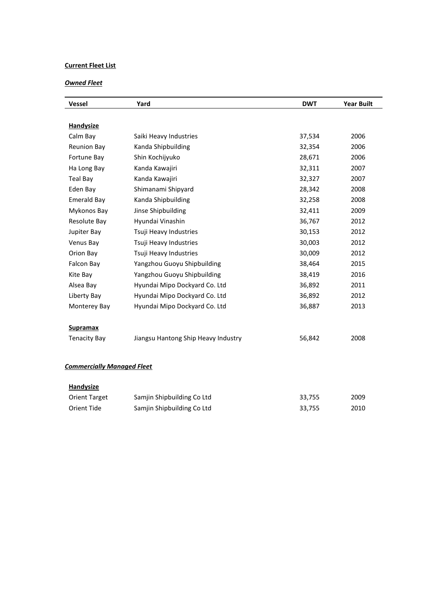# **Current Fleet List**

## *Owned Fleet*

| <b>Vessel</b>                     | Yard                                | <b>DWT</b> | <b>Year Built</b> |
|-----------------------------------|-------------------------------------|------------|-------------------|
|                                   |                                     |            |                   |
| <b>Handysize</b>                  |                                     |            |                   |
| Calm Bay                          | Saiki Heavy Industries              | 37,534     | 2006              |
| <b>Reunion Bay</b>                | Kanda Shipbuilding                  | 32,354     | 2006              |
| Fortune Bay                       | Shin Kochijyuko                     | 28,671     | 2006              |
| Ha Long Bay                       | Kanda Kawajiri                      | 32,311     | 2007              |
| <b>Teal Bay</b>                   | Kanda Kawajiri                      | 32,327     | 2007              |
| Eden Bay                          | Shimanami Shipyard                  | 28,342     | 2008              |
| <b>Emerald Bay</b>                | Kanda Shipbuilding                  | 32,258     | 2008              |
| Mykonos Bay                       | Jinse Shipbuilding                  | 32,411     | 2009              |
| Resolute Bay                      | Hyundai Vinashin                    | 36,767     | 2012              |
| Jupiter Bay                       | Tsuji Heavy Industries              | 30,153     | 2012              |
| Venus Bay                         | Tsuji Heavy Industries              | 30,003     | 2012              |
| Orion Bay                         | Tsuji Heavy Industries              | 30,009     | 2012              |
| Falcon Bay                        | Yangzhou Guoyu Shipbuilding         | 38,464     | 2015              |
| Kite Bay                          | Yangzhou Guoyu Shipbuilding         | 38,419     | 2016              |
| Alsea Bay                         | Hyundai Mipo Dockyard Co. Ltd       | 36,892     | 2011              |
| Liberty Bay                       | Hyundai Mipo Dockyard Co. Ltd       | 36,892     | 2012              |
| Monterey Bay                      | Hyundai Mipo Dockyard Co. Ltd       | 36,887     | 2013              |
| <b>Supramax</b>                   |                                     |            |                   |
| <b>Tenacity Bay</b>               | Jiangsu Hantong Ship Heavy Industry | 56,842     | 2008              |
| <b>Commercially Managed Fleet</b> |                                     |            |                   |
|                                   |                                     |            |                   |
| <b>Handysize</b>                  |                                     |            |                   |
| <b>Orient Target</b>              | Samjin Shipbuilding Co Ltd          | 33,755     | 2009              |
| Orient Tide                       | Samjin Shipbuilding Co Ltd          | 33,755     | 2010              |
|                                   |                                     |            |                   |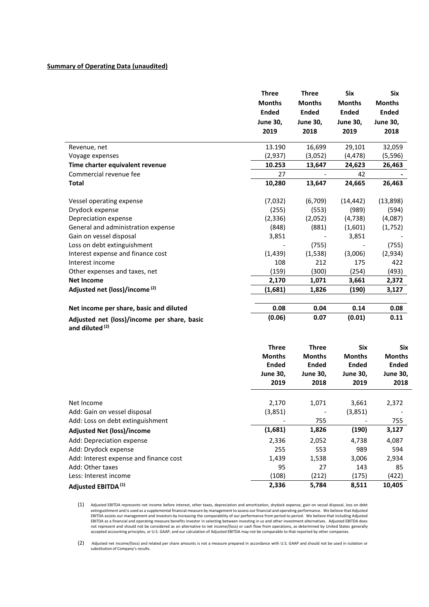#### **Summary of Operating Data (unaudited)**

|                                             | <b>Three</b>    | <b>Three</b>    | Six             | Six             |
|---------------------------------------------|-----------------|-----------------|-----------------|-----------------|
|                                             | <b>Months</b>   | <b>Months</b>   | <b>Months</b>   | <b>Months</b>   |
|                                             | <b>Ended</b>    | <b>Ended</b>    | <b>Ended</b>    | <b>Ended</b>    |
|                                             | <b>June 30,</b> | <b>June 30,</b> | <b>June 30,</b> | <b>June 30,</b> |
|                                             | 2019            | 2018            | 2019            | 2018            |
|                                             |                 |                 |                 |                 |
| Revenue, net                                | 13.190          | 16,699          | 29,101          | 32,059          |
| Voyage expenses                             | (2,937)         | (3,052)         | (4, 478)        | (5, 596)        |
| Time charter equivalent revenue             | 10.253          | 13,647          | 24,623          | 26,463          |
| Commercial revenue fee                      | 27              |                 | 42              |                 |
| <b>Total</b>                                | 10,280          | 13,647          | 24,665          | 26,463          |
| Vessel operating expense                    | (7,032)         | (6,709)         | (14, 442)       | (13,898)        |
| Drydock expense                             | (255)           | (553)           | (989)           | (594)           |
| Depreciation expense                        | (2, 336)        | (2,052)         | (4, 738)        | (4,087)         |
| General and administration expense          | (848)           | (881)           | (1,601)         | (1,752)         |
| Gain on vessel disposal                     | 3,851           |                 | 3,851           |                 |
| Loss on debt extinguishment                 |                 | (755)           |                 | (755)           |
| Interest expense and finance cost           | (1, 439)        | (1,538)         | (3,006)         | (2,934)         |
| Interest income                             | 108             | 212             | 175             | 422             |
| Other expenses and taxes, net               | (159)           | (300)           | (254)           | (493)           |
| <b>Net Income</b>                           | 2,170           | 1,071           | 3,661           | 2,372           |
| Adjusted net (loss)/income <sup>(2)</sup>   | (1,681)         | 1,826           | (190)           | 3,127           |
| Net income per share, basic and diluted     | 0.08            | 0.04            | 0.14            | 0.08            |
| Adjusted net (loss)/income per share, basic | (0.06)          | 0.07            | (0.01)          | 0.11            |
| and diluted <sup>(2)</sup>                  |                 |                 |                 |                 |
|                                             | <b>Three</b>    | <b>Three</b>    | <b>Six</b>      | Six             |
|                                             | <b>Months</b>   | <b>Months</b>   | <b>Months</b>   | <b>Months</b>   |
|                                             | <b>Ended</b>    | <b>Ended</b>    | <b>Ended</b>    | <b>Ended</b>    |
|                                             | <b>June 30,</b> | <b>June 30,</b> | <b>June 30,</b> | <b>June 30,</b> |
|                                             | 2019            | 2018            | 2019            | 2018            |
| Net Income                                  | 2,170           | 1,071           | 3,661           | 2,372           |
| Add: Gain on vessel disposal                | (3,851)         |                 | (3,851)         |                 |
| Add: Loss on debt extinguishment            |                 | 755             |                 | 755             |
| <b>Adjusted Net (loss)/income</b>           | (1,681)         | 1,826           | (190)           | 3,127           |
| Add: Depreciation expense                   | 2,336           | 2,052           | 4,738           | 4,087           |
| Add: Drydock expense                        | 255             | 553             | 989             | 594             |
| Add: Interest expense and finance cost      | 1,439           | 1,538           | 3,006           | 2,934           |
| Add: Other taxes                            | 95              | 27              | 143             | 85              |
| Less: Interest income                       | (108)           | (212)           | (175)           | (422)           |
| Adjusted EBITDA <sup>(1)</sup>              | 2,336           | 5,784           | 8,511           | 10,405          |

(1) Adjusted EBITDA represents net income before interest, other taxes, depreciation and amortization, drydock expense, gain on vessel disposal, loss on debt extinguishment and is used as a supplemental financial measure b EBITDA as a financial and operating measure benefits investor in selecting between investing in us and other investment alternatives. Adjusted EBITDA does<br>not represent and should not be considered as an alternative to net accepted accounting principles, or U.S. GAAP, and our calculation of Adjusted EBITDA may not be comparable to that reported by other companies.

(2) Adjusted net income/(loss) and related per share amounts is not a measure prepared in accordance with U.S. GAAP and should not be used in isolation or substitution of Company's results.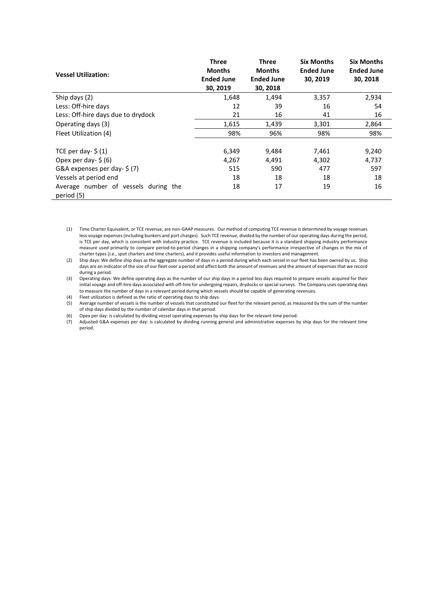| <b>Vessel Utilization:</b>                         | <b>Three</b><br><b>Months</b><br><b>Ended June</b><br>30, 2019 | <b>Three</b><br><b>Months</b><br><b>Ended June</b><br>30, 2018 | <b>Six Months</b><br><b>Ended June</b><br>30, 2019 | <b>Six Months</b><br><b>Ended June</b><br>30, 2018 |
|----------------------------------------------------|----------------------------------------------------------------|----------------------------------------------------------------|----------------------------------------------------|----------------------------------------------------|
| Ship days (2)                                      | 1,648                                                          | 1,494                                                          | 3,357                                              | 2,934                                              |
| Less: Off-hire days                                | 12                                                             | 39                                                             | 16                                                 | 54                                                 |
| Less: Off-hire days due to drydock                 | 21                                                             | 16                                                             | 41                                                 | 16                                                 |
| Operating days (3)                                 | 1,615                                                          | 1,439                                                          | 3,301                                              | 2,864                                              |
| Fleet Utilization (4)                              | 98%                                                            | 96%                                                            | 98%                                                | 98%                                                |
| TCE per day- $\frac{1}{2}$ (1)                     | 6,349                                                          | 9,484                                                          | 7,461                                              | 9,240                                              |
| Opex per day- $$$ (6)                              | 4,267                                                          | 4,491                                                          | 4,302                                              | 4,737                                              |
| G&A expenses per day- $\frac{1}{2}$ (7)            | 515                                                            | 590                                                            | 477                                                | 597                                                |
| Vessels at period end                              | 18                                                             | 18                                                             | 18                                                 | 18                                                 |
| Average number of vessels during the<br>period (5) | 18                                                             | 17                                                             | 19                                                 | 16                                                 |

(1) Time Charter Equivalent, or TCE revenue, are non-GAAP measures. Our method of computing TCE revenue is determined by voyage revenues less voyage expenses (including bunkers and port charges). Such TCE revenue, divided by the number of our operating days during the period, is TCE per day, which is consistent with industry practice. TCE revenue is included because it is a standard shipping industry performance measure used primarily to compare period-to-period changes in a shipping company's performance irrespective of changes in the mix of charter types (i.e., spot charters and time charters), and it provides useful information to investors and management.

(2) Ship days: We define ship days as the aggregate number of days in a period during which each vessel in our fleet has been owned by us. Ship days are an indicator of the size of our fleet over a period and affect both the amount of revenues and the amount of expenses that we record during a period.

(3) Operating days: We define operating days as the number of our ship days in a period less days required to prepare vessels acquired for their initial voyage and off-hire days associated with off-hire for undergoing repairs, drydocks or special surveys. The Company uses operating days to measure the number of days in a relevant period during which vessels should be capable of generating revenues.

(4) Fleet utilization is defined as the ratio of operating days to ship days.<br>(5) Average number of vessels is the number of vessels that constituted

Average number of vessels is the number of vessels that constituted our fleet for the relevant period, as measured by the sum of the number of ship days divided by the number of calendar days in that period.

(6) Opex per day: is calculated by dividing vessel operating expenses by ship days for the relevant time period.<br>(7) Adjusted G&A expenses per day: is calculated by dividing running general and administrative expenses b

Adjusted G&A expenses per day: is calculated by dividing running general and administrative expenses by ship days for the relevant time period.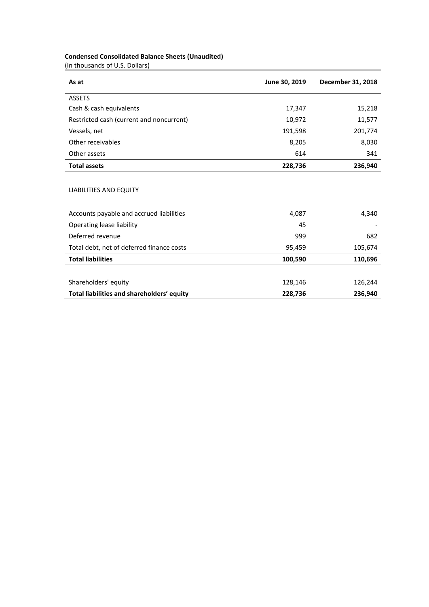# **Condensed Consolidated Balance Sheets (Unaudited)**

(In thousands of U.S. Dollars)

| As at                                      | June 30, 2019 | December 31, 2018 |
|--------------------------------------------|---------------|-------------------|
| <b>ASSETS</b>                              |               |                   |
| Cash & cash equivalents                    | 17,347        | 15,218            |
| Restricted cash (current and noncurrent)   | 10,972        | 11,577            |
| Vessels, net                               | 191,598       | 201,774           |
| Other receivables                          | 8,205         | 8,030             |
| Other assets                               | 614           | 341               |
| <b>Total assets</b>                        | 228,736       | 236,940           |
| <b>LIABILITIES AND EQUITY</b>              |               |                   |
| Accounts payable and accrued liabilities   | 4,087         | 4,340             |
| Operating lease liability                  | 45            |                   |
| Deferred revenue                           | 999           | 682               |
| Total debt, net of deferred finance costs  | 95,459        | 105,674           |
| <b>Total liabilities</b>                   | 100,590       | 110,696           |
|                                            |               |                   |
| Shareholders' equity                       | 128,146       | 126,244           |
| Total liabilities and shareholders' equity | 228,736       | 236,940           |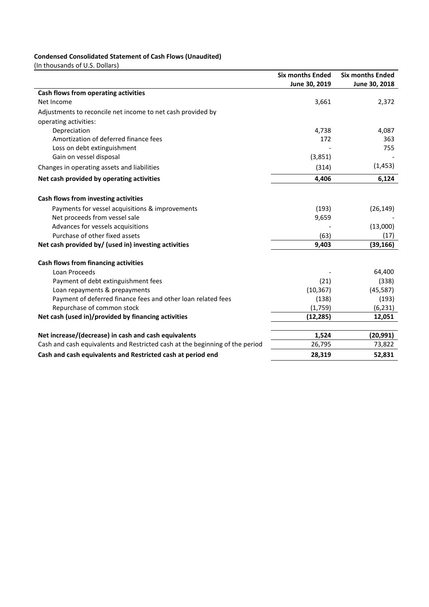# **Condensed Consolidated Statement of Cash Flows (Unaudited)**

(In thousands of U.S. Dollars)

|                                                                              | <b>Six months Ended</b> | <b>Six months Ended</b> |
|------------------------------------------------------------------------------|-------------------------|-------------------------|
|                                                                              | June 30, 2019           | June 30, 2018           |
| Cash flows from operating activities                                         |                         |                         |
| Net Income                                                                   | 3,661                   | 2,372                   |
| Adjustments to reconcile net income to net cash provided by                  |                         |                         |
| operating activities:                                                        |                         |                         |
| Depreciation                                                                 | 4,738                   | 4,087                   |
| Amortization of deferred finance fees                                        | 172                     | 363                     |
| Loss on debt extinguishment                                                  |                         | 755                     |
| Gain on vessel disposal                                                      | (3,851)                 |                         |
| Changes in operating assets and liabilities                                  | (314)                   | (1, 453)                |
| Net cash provided by operating activities                                    | 4,406                   | 6,124                   |
|                                                                              |                         |                         |
| Cash flows from investing activities                                         |                         |                         |
| Payments for vessel acquisitions & improvements                              | (193)                   | (26, 149)               |
| Net proceeds from vessel sale                                                | 9,659                   |                         |
| Advances for vessels acquisitions                                            |                         | (13,000)                |
| Purchase of other fixed assets                                               | (63)                    | (17)                    |
| Net cash provided by/ (used in) investing activities                         | 9,403                   | (39, 166)               |
| Cash flows from financing activities                                         |                         |                         |
| Loan Proceeds                                                                |                         | 64,400                  |
| Payment of debt extinguishment fees                                          | (21)                    | (338)                   |
| Loan repayments & prepayments                                                | (10, 367)               | (45, 587)               |
| Payment of deferred finance fees and other loan related fees                 | (138)                   | (193)                   |
| Repurchase of common stock                                                   | (1,759)                 | (6, 231)                |
| Net cash (used in)/provided by financing activities                          | (12, 285)               | 12,051                  |
|                                                                              |                         |                         |
| Net increase/(decrease) in cash and cash equivalents                         | 1,524                   | (20, 991)               |
| Cash and cash equivalents and Restricted cash at the beginning of the period | 26,795                  | 73,822                  |
| Cash and cash equivalents and Restricted cash at period end                  | 28,319                  | 52,831                  |